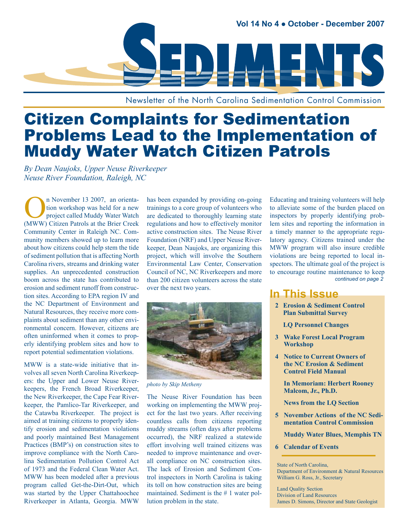

Newsletter of the North Carolina Sedimentation Control Commission

# Citizen Complaints for Sedimentation Problems Lead to the Implementation of Muddy Water Watch Citizen Patrols

*By Dean Naujoks, Upper Neuse Riverkeeper Neuse River Foundation, Raleigh, NC*

n November 13 2007, an orientation workshop was held for a new project called Muddy Water Watch (MWW) Citizen Patrols at the Brier Creek Community Center in Raleigh NC. Community members showed up to learn more about how citizens could help stem the tide of sediment pollution that is affecting North Carolina rivers, streams and drinking water supplies. An unprecedented construction boom across the state has contributed to erosion and sediment runoff from construction sites. According to EPA region IV and the NC Department of Environment and Natural Resources, they receive more complaints about sediment than any other environmental concern. However, citizens are often uninformed when it comes to properly identifying problem sites and how to report potential sedimentation violations.

MWW is a state-wide initiative that involves all seven North Carolina Riverkeepers: the Upper and Lower Neuse Riverkeepers, the French Broad Riverkeeper, the New Riverkeeper, the Cape Fear Riverkeeper, the Pamlico-Tar Riverkeeper, and the Catawba Riverkeeper. The project is aimed at training citizens to properly identify erosion and sedimentation violations and poorly maintained Best Management Practices (BMP's) on construction sites to improve compliance with the North Carolina Sedimentation Pollution Control Act of 1973 and the Federal Clean Water Act. MWW has been modeled after a previous program called Get-the-Dirt-Out, which was started by the Upper Chattahoochee Riverkeeper in Atlanta, Georgia. MWW

has been expanded by providing on-going trainings to a core group of volunteers who are dedicated to thoroughly learning state regulations and how to effectively monitor active construction sites. The Neuse River Foundation (NRF) and Upper Neuse Riverkeeper, Dean Naujoks, are organizing this project, which will involve the Southern Environmental Law Center, Conservation Council of NC, NC Riverkeepers and more than 200 citizen volunteers across the state over the next two years.



*photo by Skip Metheny*

The Neuse River Foundation has been working on implementing the MWW project for the last two years. After receiving countless calls from citizens reporting muddy streams (often days after problems occurred), the NRF realized a statewide effort involving well trained citizens was needed to improve maintenance and overall compliance on NC construction sites. The lack of Erosion and Sediment Control inspectors in North Carolina is taking its toll on how construction sites are being maintained. Sediment is the # 1 water pollution problem in the state.

Educating and training volunteers will help to alleviate some of the burden placed on inspectors by properly identifying problem sites and reporting the information in a timely manner to the appropriate regulatory agency. Citizens trained under the MWW program will also insure credible violations are being reported to local inspectors. The ultimate goal of the project is to encourage routine maintenance to keep *continued on page 2*

#### **In This Issue**

**2 Erosion & Sediment Control Plan Submittal Survey**

 **LQ Personnel Changes**

- **3 Wake Forest Local Program Workshop**
- **4 Notice to Current Owners of the NC Erosion & Sediment Control Field Manual**

 **In Memoriam: Herbert Rooney Malcom, Jr., Ph.D.**

 **News from the LQ Section**

**5** November Actions of the NC Sedi- **mentation Control Commission**

 **Muddy Water Blues, Memphis TN**

 **6 Calendar of Events**

State of North Carolina, Department of Environment & Natural Resources William G. Ross, Jr., Secretary

Land Quality Section Division of Land Resources James D. Simons, Director and State Geologist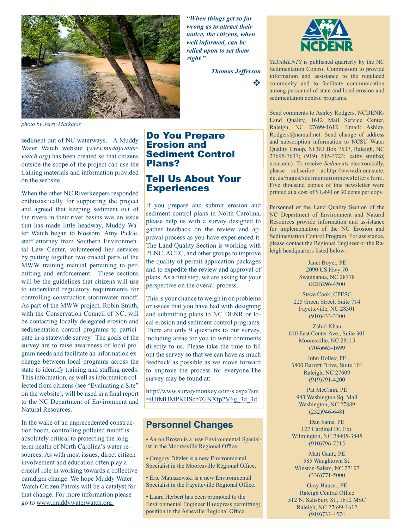

*photo by Jerry Markatos*

sediment out of NC waterways. A Muddy Water Watch website (*www.muddywaterwatch.org*) has been created so that citizens outside the scope of the project can use the training materials and information provided on the website.

When the other NC Riverkeepers responded enthusiastically for supporting the project and agreed that keeping sediment out of the rivers in their river basins was an issue that has made little headway, Muddy Water Watch began to blossom. Amy Pickle, staff attorney from Southern Environmental Law Center, volunteered her services by putting together two crucial parts of the MWW training manual pertaining to permitting and enforcement. These sections will be the guidelines that citizens will use to understand regulatory requirements for controlling construction stormwater runoff. As part of the MWW project, Robin Smith, with the Conservation Council of NC, will be contacting locally delegated erosion and sedimentation control programs to participate in a statewide survey. The goals of the survey are to raise awareness of local program needs and facilitate an information exchange between local programs across the state to identify training and staffing needs. This information, as well as information collected from citizens (see "Evaluating a Site" on the website), will be used in a final report to the NC Department of Environment and Natural Resources.

In the wake of an unprecedented construction boom, controlling polluted runoff is absolutely critical to protecting the long term health of North Carolina's water resources. As with most issues, direct citizen involvement and education often play a crucial role in working towards a collective paradigm change. We hope Muddy Water Watch Citizen Patrols will be a catalyst for that change. For more information please go to www.muddywaterwatch.org.

*"When things get so far wrong as to attract their notice, the citizens, when well informed, can be relied upon to set them right."*

*Thomas Jefferson*

v



*SEDIMENTS* is published quarterly by the NC Sedimentation Control Commission to provide information and assistance to the regulated community and to facilitate communication among personnel of state and local erosion and sedimentation control programs.

Send comments to Ashley Rodgers, NCDENR-Land Quality, 1612 Mail Service Center, Raleigh, NC 27699-1612. Email: Ashley. Rodgers@ncmail.net. Send change of address and subscription information to NCSU Water Quality Group, NCSU Box 7637, Raleigh, NC 27695-7637; (919) 515-3723; cathy smith@ ncsu.edu). To receive *Sediments* electronically, please subscribe at:http://www.dlr.enr.state. nc.us/pages/sedimentationnewsletters.html. Five thousand copies of this newsletter were printed at a cost of \$1,490 or 30 cents per copy.

Personnel of the Land Quality Section of the NC Department of Environment and Natural Resources provide information and assistance for implementation of the NC Erosion and Sedimentation Control Program. For assistance, please contact the Regional Engineer or the Raleigh headquarters listed below:

> Janet Boyer, PE 2090 US Hwy 70 Swannanoa, NC 28778 (828)296-4500

Steve Cook, CPESC 225 Green Street, Suite 714 Fayetteville, NC 28301 (910)433-3300

Zahid Khan 610 East Center Ave., Suite 301 Mooresville, NC 28115 (704)663-1699

John Holley, PE 3800 Barrett Drive, Suite 101 Raleigh, NC 27609 (919)791-4200

Pat McClain, PE 943 Washington Sq. Mall Washington, NC 27889 (252)946-6481

Dan Sams, PE 127 Cardinal Dr. Ext. Wilmington, NC 28405-3845 (910)796-7215

Matt Gantt, PE 585 Waughtown St. Winston-Salem, NC 27107 (336)771-5000

Gray Hauser, PE Raleigh Central Office 512 N. Salisbury St., 1612 MSC Raleigh, NC 27699-1612 (919)733-4574

#### Do You Prepare Erosion and Sediment Control Plans?

## Tell Us About Your **Experiences**

If you prepare and submit erosion and sediment control plans in North Carolina, please help us with a survey designed to gather feedback on the review and approval process as you have experienced it. The Land Quality Section is working with PENC, ACEC, and other groups to improve the quality of permit application packages and to expedite the review and approval of plans. As a first step, we are asking for your perspective on the overall process.

This is your chance to weigh in on problems or issues that you have had with designing and submitting plans to NC DENR or local erosion and sediment control programs. There are only 9 questions to our survey, including areas for you to write comments directly to us. Please take the time to fill out the survey so that we can have as much feedback as possible as we move forward to improve the process for everyone.The survey may be found at:

http://www.surveymonkey.com/s.aspx?sm =iUfMHMPKHScb7GNXfp2V6g\_3d\_3d

## **Personnel Changes**

• Aaron Brown is a new Environmental Specialist in the Mooresville Regional Office.

• Gregory Ditzler is a new Environmental Specialist in the Mooresville Regional Office.

• Eric Matuszewski is a new Environmental Specialist in the Fayetteville Regional Office.

• Laura Herbert has been promoted to the Environmental Engineer II (express permitting) position in the Asheville Regional Office.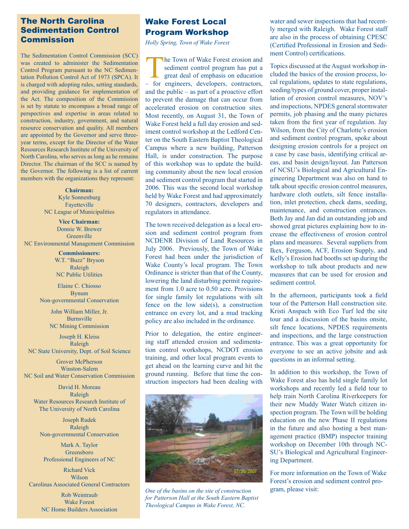#### The North Carolina Sedimentation Control Commission

The Sedimentation Control Commission (SCC) was created to administer the Sedimentation Control Program pursuant to the NC Sedimentation Pollution Control Act of 1973 (SPCA). It is charged with adopting rules, setting standards, and providing guidance for implementation of the Act. The composition of the Commission is set by statute to encompass a broad range of perspectives and expertise in areas related to construction, industry, government, and natural resource conservation and quality. All members are appointed by the Governor and serve threeyear terms, except for the Director of the Water Resources Research Institute of the University of North Carolina, who serves as long as he remains Director. The chairman of the SCC is named by the Governor. The following is a list of current members with the organizations they represent:

> **Chairman:** Kyle Sonnenburg Fayetteville NC League of Municipalities

**Vice Chairman:** Donnie W. Brewer **Greenville** NC Environmental Management Commission

> **Commissioners:** W.T. "Buzz" Bryson Raleigh NC Public Utilities

Elaine C. Chiosso Bynum Non-governmental Conservation

> John William Miller, Jr. Burnsville NC Mining Commission

Joseph H. Kleiss Raleigh NC State University, Dept. of Soil Science

Grover McPherson Winston-Salem NC Soil and Water Conservation Commission

David H. Moreau Raleigh Water Resources Research Institute of The University of North Carolina

Joseph Rudek Raleigh Non-governmental Conservation

Mark A. Taylor Greensboro Professional Engineers of NC

Richard Vick Wilson Carolinas Associated General Contractors

> Rob Weintraub Wake Forest NC Home Builders Association

## Wake Forest Local Program Workshop

*Holly Spring, Town of Wake Forest*

**The Town of Wake Forest erosion and** sediment control program has put a great deal of emphasis on education – for engineers, developers, contractors, and the public – as part of a proactive effort to prevent the damage that can occur from accelerated erosion on construction sites. Most recently, on August 31, the Town of Wake Forest held a full day erosion and sediment control workshop at the Ledford Center on the South Eastern Baptist Theological Campus where a new building, Patterson Hall, is under construction. The purpose of this workshop was to update the building community about the new local erosion and sediment control program that started in 2006. This was the second local workshop held by Wake Forest and had approximately 70 designers, contractors, developers and regulators in attendance.

The town received delegation as a local erosion and sediment control program from NCDENR Division of Land Resources in July 2006. Previously, the Town of Wake Forest had been under the jurisdiction of Wake County's local program. The Town Ordinance is stricter than that of the County, lowering the land disturbing permit requirement from 1.0 acre to 0.50 acre. Provisions for single family lot regulations with silt fence on the low side(s), a construction entrance on every lot, and a mud tracking policy are also included in the ordinance.

Prior to delegation, the entire engineering staff attended erosion and sedimentation control workshops, NCDOT erosion training, and other local program events to get ahead on the learning curve and hit the ground running. Before that time the construction inspectors had been dealing with



*One of the basins on the site of construction for Patterson Hall at the South Eastern Baptist Theological Campus in Wake Forest, NC.*

water and sewer inspections that had recently merged with Raleigh. Wake Forest staff are also in the process of obtaining CPESC (Certified Professional in Erosion and Sediment Control) certifications.

Topics discussed at the August workshop included the basics of the erosion process, local regulations, updates to state regulations, seeding/types of ground cover, proper installation of erosion control measures, NOV's and inspections, NPDES general stormwater permits, job phasing and the many pictures taken from the first year of regulation. Jay Wilson, from the City of Charlotte's erosion and sediment control program, spoke about designing erosion controls for a project on a case by case basis, identifying critical areas, and basin design/layout. Jan Patterson of NCSU's Biological and Agricultural Engineering Department was also on hand to talk about specific erosion control measures, hardware cloth outlets, silt fence installation, inlet protection, check dams, seeding, maintenance, and construction entrances. Both Jay and Jan did an outstanding job and showed great pictures explaining how to increase the effectiveness of erosion control plans and measures. Several suppliers from Ikex, Ferguson, ACF, Erosion Supply, and Kelly's Erosion had booths set up during the workshop to talk about products and new measures that can be used for erosion and sediment control.

In the afternoon, participants took a field tour of the Patterson Hall construction site. Kristi Anspach with Eco Turf led the site tour and a discussion of the basins onsite, silt fence locations, NPDES requirements and inspections, and the large construction entrance. This was a great opportunity for everyone to see an active jobsite and ask questions in an informal setting.

In addition to this workshop, the Town of Wake Forest also has held single family lot workshops and recently led a field tour to help train North Carolina Riverkeepers for their new Muddy Water Watch citizen inspection program. The Town will be holding education on the new Phase II regulations in the future and also hosting a best management practice (BMP) inspector training workshop on December 10th through NC-SU's Biological and Agricultural Engineering Department.

For more information on the Town of Wake Forest's erosion and sediment control program, please visit: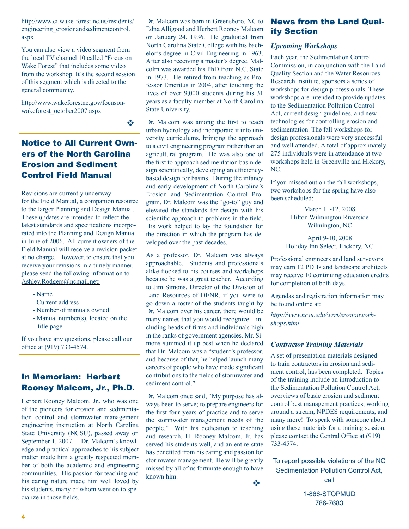http://www.ci.wake-forest.nc.us/residents/ engineering\_erosionandsedimentcontrol. aspx

You can also view a video segment from the local TV channel 10 called "Focus on Wake Forest" that includes some video from the workshop. It's the second session of this segment which is directed to the general community.

http://www.wakeforestnc.gov/focusonwakeforest\_october2007.aspx

v

## Notice to All Current Owners of the North Carolina Erosion and Sediment Control Field Manual

Revisions are currently underway for the Field Manual, a companion resource to the larger Planning and Design Manual. These updates are intended to reflect the latest standards and specifications incorporated into the Planning and Design Manual in June of 2006. All current owners of the Field Manual will receive a revision packet at no charge. However, to ensure that you receive your revisions in a timely manner, please send the following information to Ashley.Rodgers@ncmail.net:

- Name
- Current address
- Number of manuals owned
- Manual number(s), located on the title page

If you have any questions, please call our office at (919) 733-4574.

## In Memoriam: Herbert Rooney Malcom, Jr., Ph.D.

Herbert Rooney Malcom, Jr., who was one of the pioneers for erosion and sedimentation control and stormwater management engineering instruction at North Carolina State University (NCSU), passed away on September 1, 2007. Dr. Malcom's knowledge and practical approaches to his subject matter made him a greatly respected member of both the academic and engineering communities. His passion for teaching and his caring nature made him well loved by his students, many of whom went on to specialize in those fields.

Dr. Malcom was born in Greensboro, NC to Edna Alligood and Herbert Rooney Malcom on January 24, 1936. He graduated from North Carolina State College with his bachelor's degree in Civil Engineering in 1963. After also receiving a master's degree, Malcolm was awarded his PhD from N.C. State in 1973. He retired from teaching as Professor Emeritus in 2004, after touching the lives of over 9,000 students during his 31 years as a faculty member at North Carolina State University.

Dr. Malcom was among the first to teach urban hydrology and incorporate it into university curriculums, bringing the approach to a civil engineering program rather than an agricultural program. He was also one of the first to approach sedimentation basin design scientifically, developing an efficiencybased design for basins. During the infancy and early development of North Carolina's Erosion and Sedimentation Control Program, Dr. Malcom was the "go-to" guy and elevated the standards for design with his scientific approach to problems in the field. His work helped to lay the foundation for the direction in which the program has developed over the past decades.

As a professor, Dr. Malcom was always approachable. Students and professionals alike flocked to his courses and workshops because he was a great teacher. According to Jim Simons, Director of the Division of Land Resources of DENR, if you were to go down a roster of the students taught by Dr. Malcom over his career, there would be many names that you would recognize – including heads of firms and individuals high in the ranks of government agencies. Mr. Simons summed it up best when he declared that Dr. Malcom was a "student's professor, and because of that, he helped launch many careers of people who have made significant contributions to the fields of stormwater and sediment control."

Dr. Malcom once said, "My purpose has always been to serve; to prepare engineers for the first four years of practice and to serve the stormwater management needs of the people." With his dedication to teaching and research, H. Rooney Malcom, Jr. has served his students well, and an entire state has benefited from his caring and passion for stormwater management. He will be greatly missed by all of us fortunate enough to have known him.

**video de la construcción de la construcción** 

News from the Land Quality Section

#### *Upcoming Workshops*

Each year, the Sedimentation Control Commission, in conjunction with the Land Quality Section and the Water Resources Research Institute, sponsors a series of workshops for design professionals. These workshops are intended to provide updates to the Sedimentation Pollution Control Act, current design guidelines, and new technologies for controlling erosion and sedimentation. The fall workshops for design professionals were very successful and well attended. A total of approximately 275 individuals were in attendance at two workshops held in Greenville and Hickory, NC.

If you missed out on the fall workshops, two workshops for the spring have also been scheduled:

> March 11-12, 2008 Hilton Wilmington Riverside Wilmington, NC

April 9-10, 2008 Holiday Inn Select, Hickory, NC

Professional engineers and land surveyors may earn 12 PDHs and landscape architects may receive 10 continuing education credits for completion of both days.

Agendas and registration information may be found online at:

*http://www.ncsu.edu/wrri/erosionworkshops.html*

#### *Contractor Training Materials*

A set of presentation materials designed to train contractors in erosion and sediment control, has been completed. Topics of the training include an introduction to the Sedimentation Pollution Control Act, overviews of basic erosion and sediment control best management practices, working around a stream, NPDES requirements, and many more! To speak with someone about using these materials for a training session, please contact the Central Office at (919) 733-4574.

To report possible violations of the NC Sedimentation Pollution Control Act, call

> 1-866-STOPMUD 786-7683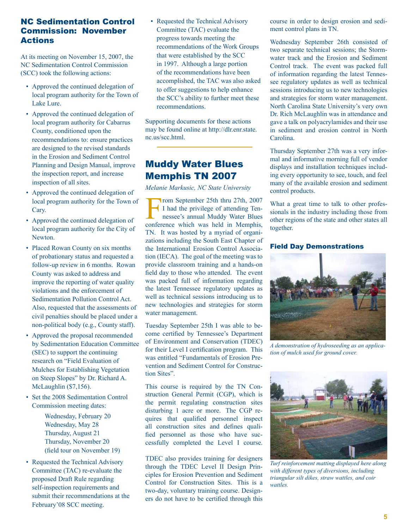#### NC Sedimentation Control Commission: November Actions

At its meeting on November 15, 2007, the NC Sedimentation Control Commission (SCC) took the following actions:

- Approved the continued delegation of local program authority for the Town of Lake Lure.
- Approved the continued delegation of local program authority for Cabarrus County, conditioned upon the recommendations to: ensure practices are designed to the revised standards in the Erosion and Sediment Control Planning and Design Manual, improve the inspection report, and increase inspection of all sites.
- Approved the continued delegation of local program authority for the Town of Cary.
- Approved the continued delegation of local program authority for the City of Newton.
- Placed Rowan County on six months of probationary status and requested a follow-up review in 6 months. Rowan County was asked to address and improve the reporting of water quality violations and the enforcement of Sedimentation Pollution Control Act. Also, requested that the assessments of civil penalties should be placed under a non-political body (e.g., County staff).
- Approved the proposal recommended by Sedimentation Education Committee (SEC) to support the continuing research on "Field Evaluation of Mulches for Establishing Vegetation on Steep Slopes" by Dr. Richard A. McLaughlin (\$7,156).
- Set the 2008 Sedimentation Control Commission meeting dates:

 Wednesday, February 20 Wednesday, May 28 Thursday, August 21 Thursday, November 20 (field tour on November 19)

• Requested the Technical Advisory Committee (TAC) re-evaluate the proposed Draft Rule regarding self-inspection requirements and submit their recommendations at the February'08 SCC meeting.

• Requested the Technical Advisory Committee (TAC) evaluate the progress towards meeting the recommendations of the Work Groups that were established by the SCC in 1997. Although a large portion of the recommendations have been accomplished, the TAC was also asked to offer suggestions to help enhance the SCC's ability to further meet these recommendations.

Supporting documents for these actions may be found online at http://dlr.enr.state. nc.us/scc.html.

## Muddy Water Blues Memphis TN 2007

*Melanie Markusic, NC State University*

From September 25th thru 27th, 2007<br>I had the privilege of attending Tennessee's annual Muddy Water Blues<br>conference which was held in Memphis I had the privilege of attending Tennessee's annual Muddy Water Blues conference which was held in Memphis, TN. It was hosted by a myriad of organizations including the South East Chapter of the International Erosion Control Association (IECA). The goal of the meeting was to provide classroom training and a hands-on field day to those who attended. The event was packed full of information regarding the latest Tennessee regulatory updates as well as technical sessions introducing us to new technologies and strategies for storm water management.

Tuesday September 25th I was able to become certified by Tennessee's Department of Environment and Conservation (TDEC) for their Level I certification program. This was entitled "Fundamentals of Erosion Prevention and Sediment Control for Construction Sites".

This course is required by the TN Construction General Permit (CGP), which is the permit regulating construction sites disturbing 1 acre or more. The CGP requires that qualified personnel inspect all construction sites and defines qualified personnel as those who have successfully completed the Level I course.

TDEC also provides training for designers through the TDEC Level II Design Principles for Erosion Prevention and Sediment Control for Construction Sites. This is a two-day, voluntary training course. Designers do not have to be certified through this course in order to design erosion and sediment control plans in TN.

Wednesday September 26th consisted of two separate technical sessions; the Stormwater track and the Erosion and Sediment Control track. The event was packed full of information regarding the latest Tennessee regulatory updates as well as technical sessions introducing us to new technologies and strategies for storm water management. North Carolina State University's very own Dr. Rich McLaughlin was in attendance and gave a talk on polyacrylamides and their use in sediment and erosion control in North Carolina.

Thursday September 27th was a very informal and informative morning full of vendor displays and installation techniques including every opportunity to see, touch, and feel many of the available erosion and sediment control products.

What a great time to talk to other professionals in the industry including those from other regions of the state and other states all together.

#### Field Day Demonstrations



*A demonstration of hydroseeding as an application of mulch used for ground cover.*



*Turf reinforcement matting displayed here along with different types of diversions, including triangular silt dikes, straw wattles, and coir wattles.*